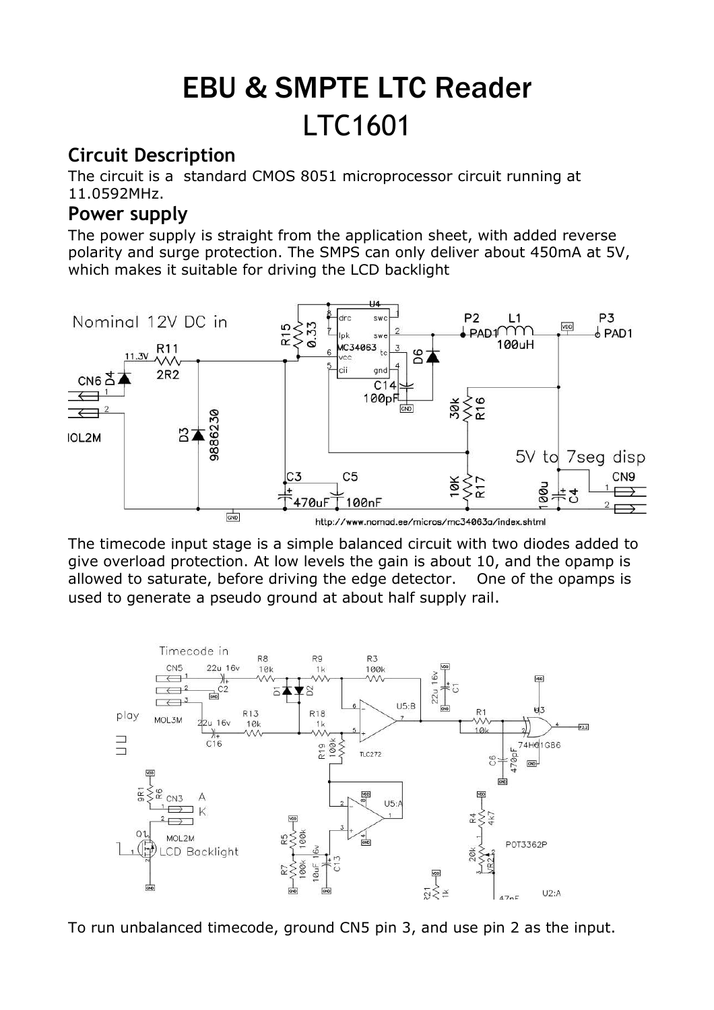# EBU & SMPTE LTC Reader LTC1601

## **Circuit Description**

The circuit is a standard CMOS 8051 microprocessor circuit running at 11.0592MHz.

#### **Power supply**

The power supply is straight from the application sheet, with added reverse polarity and surge protection. The SMPS can only deliver about 450mA at 5V, which makes it suitable for driving the LCD backlight



The timecode input stage is a simple balanced circuit with two diodes added to give overload protection. At low levels the gain is about 10, and the opamp is allowed to saturate, before driving the edge detector. One of the opamps is used to generate a pseudo ground at about half supply rail.



To run unbalanced timecode, ground CN5 pin 3, and use pin 2 as the input.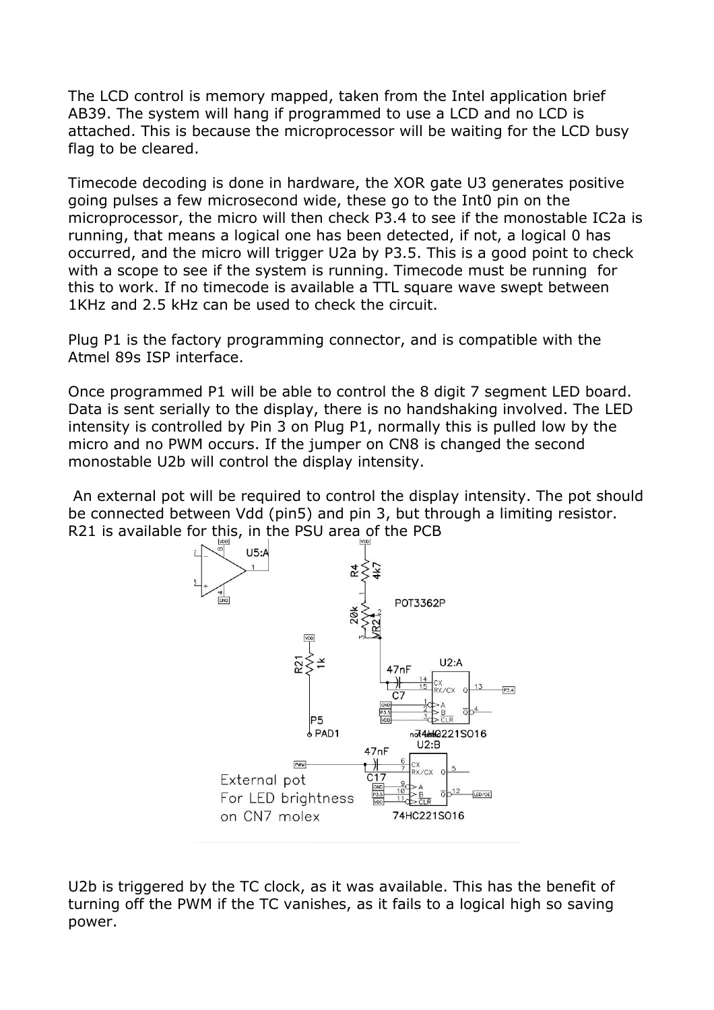The LCD control is memory mapped, taken from the Intel application brief AB39. The system will hang if programmed to use a LCD and no LCD is attached. This is because the microprocessor will be waiting for the LCD busy flag to be cleared.

Timecode decoding is done in hardware, the XOR gate U3 generates positive going pulses a few microsecond wide, these go to the Int0 pin on the microprocessor, the micro will then check P3.4 to see if the monostable IC2a is running, that means a logical one has been detected, if not, a logical 0 has occurred, and the micro will trigger U2a by P3.5. This is a good point to check with a scope to see if the system is running. Timecode must be running for this to work. If no timecode is available a TTL square wave swept between 1KHz and 2.5 kHz can be used to check the circuit.

Plug P1 is the factory programming connector, and is compatible with the Atmel 89s ISP interface.

Once programmed P1 will be able to control the 8 digit 7 segment LED board. Data is sent serially to the display, there is no handshaking involved. The LED intensity is controlled by Pin 3 on Plug P1, normally this is pulled low by the micro and no PWM occurs. If the jumper on CN8 is changed the second monostable U2b will control the display intensity.

An external pot will be required to control the display intensity. The pot should be connected between Vdd (pin5) and pin 3, but through a limiting resistor. R21 is available for this, in the PSU area of the PCB



U2b is triggered by the TC clock, as it was available. This has the benefit of turning off the PWM if the TC vanishes, as it fails to a logical high so saving power.